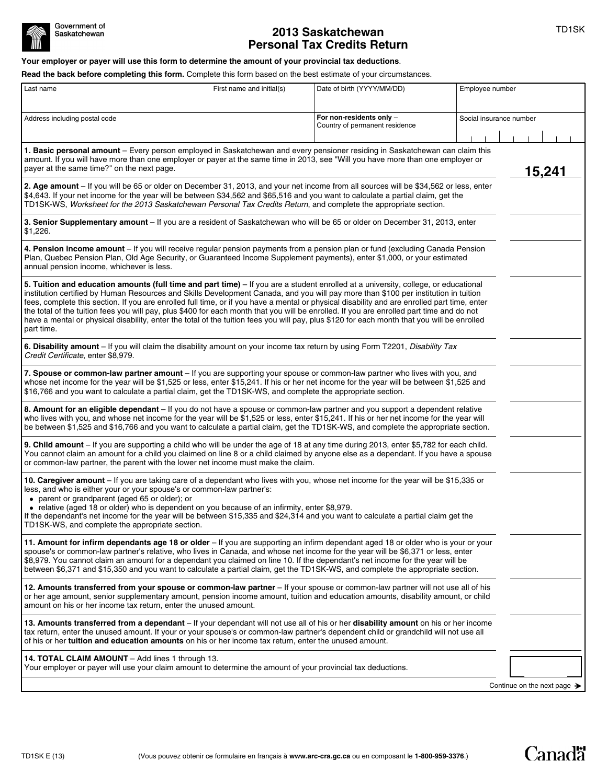

# **2013 Saskatchewan 1997** TD1SK **Personal Tax Credits Return**

**Your employer or payer will use this form to determine the amount of your provincial tax deductions**.

**Read the back before completing this form.** Complete this form based on the best estimate of your circumstances.

| Last name                                                                                                                                                                                                                                                                                                                                                                                                                                                                                                                                                                                                                                                                                                                            | First name and initial(s) | Date of birth (YYYY/MM/DD)                                 |                         | Employee number |  |
|--------------------------------------------------------------------------------------------------------------------------------------------------------------------------------------------------------------------------------------------------------------------------------------------------------------------------------------------------------------------------------------------------------------------------------------------------------------------------------------------------------------------------------------------------------------------------------------------------------------------------------------------------------------------------------------------------------------------------------------|---------------------------|------------------------------------------------------------|-------------------------|-----------------|--|
| Address including postal code                                                                                                                                                                                                                                                                                                                                                                                                                                                                                                                                                                                                                                                                                                        |                           | For non-residents only -<br>Country of permanent residence | Social insurance number |                 |  |
| 1. Basic personal amount – Every person employed in Saskatchewan and every pensioner residing in Saskatchewan can claim this<br>amount. If you will have more than one employer or payer at the same time in 2013, see "Will you have more than one employer or<br>payer at the same time?" on the next page.                                                                                                                                                                                                                                                                                                                                                                                                                        |                           |                                                            |                         | 15,241          |  |
| 2. Age amount - If you will be 65 or older on December 31, 2013, and your net income from all sources will be \$34,562 or less, enter<br>\$4,643. If your net income for the year will be between \$34,562 and \$65,516 and you want to calculate a partial claim, get the<br>TD1SK-WS, Worksheet for the 2013 Saskatchewan Personal Tax Credits Return, and complete the appropriate section.                                                                                                                                                                                                                                                                                                                                       |                           |                                                            |                         |                 |  |
| 3. Senior Supplementary amount - If you are a resident of Saskatchewan who will be 65 or older on December 31, 2013, enter<br>\$1,226.                                                                                                                                                                                                                                                                                                                                                                                                                                                                                                                                                                                               |                           |                                                            |                         |                 |  |
| 4. Pension income amount - If you will receive regular pension payments from a pension plan or fund (excluding Canada Pension<br>Plan, Quebec Pension Plan, Old Age Security, or Guaranteed Income Supplement payments), enter \$1,000, or your estimated<br>annual pension income, whichever is less.                                                                                                                                                                                                                                                                                                                                                                                                                               |                           |                                                            |                         |                 |  |
| 5. Tuition and education amounts (full time and part time) – If you are a student enrolled at a university, college, or educational<br>institution certified by Human Resources and Skills Development Canada, and you will pay more than \$100 per institution in tuition<br>fees, complete this section. If you are enrolled full time, or if you have a mental or physical disability and are enrolled part time, enter<br>the total of the tuition fees you will pay, plus \$400 for each month that you will be enrolled. If you are enrolled part time and do not<br>have a mental or physical disability, enter the total of the tuition fees you will pay, plus \$120 for each month that you will be enrolled<br>part time. |                           |                                                            |                         |                 |  |
| 6. Disability amount - If you will claim the disability amount on your income tax return by using Form T2201, Disability Tax<br>Credit Certificate, enter \$8,979.                                                                                                                                                                                                                                                                                                                                                                                                                                                                                                                                                                   |                           |                                                            |                         |                 |  |
| 7. Spouse or common-law partner amount - If you are supporting your spouse or common-law partner who lives with you, and<br>whose net income for the year will be \$1,525 or less, enter \$15,241. If his or her net income for the year will be between \$1,525 and<br>\$16,766 and you want to calculate a partial claim, get the TD1SK-WS, and complete the appropriate section.                                                                                                                                                                                                                                                                                                                                                  |                           |                                                            |                         |                 |  |
| 8. Amount for an eligible dependant - If you do not have a spouse or common-law partner and you support a dependent relative<br>who lives with you, and whose net income for the year will be \$1,525 or less, enter \$15,241. If his or her net income for the year will<br>be between \$1,525 and \$16,766 and you want to calculate a partial claim, get the TD1SK-WS, and complete the appropriate section.                                                                                                                                                                                                                                                                                                                      |                           |                                                            |                         |                 |  |
| 9. Child amount - If you are supporting a child who will be under the age of 18 at any time during 2013, enter \$5,782 for each child.<br>You cannot claim an amount for a child you claimed on line 8 or a child claimed by anyone else as a dependant. If you have a spouse<br>or common-law partner, the parent with the lower net income must make the claim.                                                                                                                                                                                                                                                                                                                                                                    |                           |                                                            |                         |                 |  |
| 10. Caregiver amount - If you are taking care of a dependant who lives with you, whose net income for the year will be \$15,335 or<br>less, and who is either your or your spouse's or common-law partner's:<br>• parent or grandparent (aged 65 or older); or<br>• relative (aged 18 or older) who is dependent on you because of an infirmity, enter \$8,979.<br>If the dependant's net income for the year will be between \$15,335 and \$24,314 and you want to calculate a partial claim get the<br>TD1SK-WS, and complete the appropriate section.                                                                                                                                                                             |                           |                                                            |                         |                 |  |
| 11. Amount for infirm dependants age 18 or older – If you are supporting an infirm dependant aged 18 or older who is your or your<br>spouse's or common-law partner's relative, who lives in Canada, and whose net income for the year will be \$6,371 or less, enter<br>\$8,979. You cannot claim an amount for a dependant you claimed on line 10. If the dependant's net income for the year will be<br>between \$6,371 and \$15,350 and you want to calculate a partial claim, get the TD1SK-WS, and complete the appropriate section.                                                                                                                                                                                           |                           |                                                            |                         |                 |  |
| 12. Amounts transferred from your spouse or common-law partner - If your spouse or common-law partner will not use all of his<br>or her age amount, senior supplementary amount, pension income amount, tuition and education amounts, disability amount, or child<br>amount on his or her income tax return, enter the unused amount.                                                                                                                                                                                                                                                                                                                                                                                               |                           |                                                            |                         |                 |  |
| 13. Amounts transferred from a dependant – If your dependant will not use all of his or her disability amount on his or her income<br>tax return, enter the unused amount. If your or your spouse's or common-law partner's dependent child or grandchild will not use all<br>of his or her tuition and education amounts on his or her income tax return, enter the unused amount.                                                                                                                                                                                                                                                                                                                                                  |                           |                                                            |                         |                 |  |
| 14. TOTAL CLAIM AMOUNT - Add lines 1 through 13.<br>Your employer or payer will use your claim amount to determine the amount of your provincial tax deductions.                                                                                                                                                                                                                                                                                                                                                                                                                                                                                                                                                                     |                           |                                                            |                         |                 |  |
| Continue on the next page $\rightarrow$                                                                                                                                                                                                                                                                                                                                                                                                                                                                                                                                                                                                                                                                                              |                           |                                                            |                         |                 |  |

**Canadä**